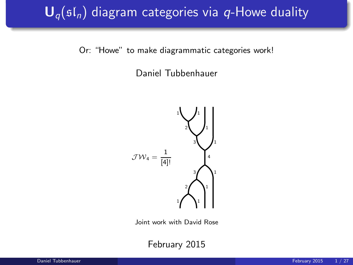# $\mathbf{U}_{q}(\mathfrak{sl}_n)$  diagram categories via q-Howe duality

Or: "Howe" to make diagrammatic categories work!

Daniel Tubbenhauer



Joint work with David Rose

February 2015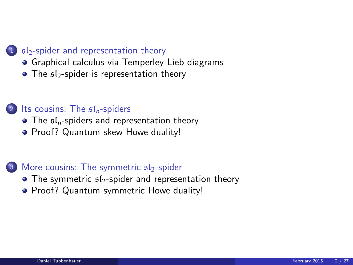#### 1  $sI<sub>2</sub>$ [-spider and representation theory](#page-2-0)

- [Graphical calculus via Temperley-Lieb diagrams](#page-2-0)
- $\bullet$  The  $$I_2$-spider$  is representation theory

#### (2) [Its cousins: The](#page-7-0)  $\mathfrak{sl}_n$ -spiders

- $\bullet$  The  $\mathfrak{sl}_n$ [-spiders and representation theory](#page-7-0)
- [Proof? Quantum skew Howe duality!](#page-12-0)

#### $3$  [More cousins: The symmetric](#page-17-0)  $s1$ -spider

- $\bullet$  The symmetric  $$I_2$-spider$  and representation theory
- **[Proof? Quantum symmetric Howe duality!](#page-22-0)**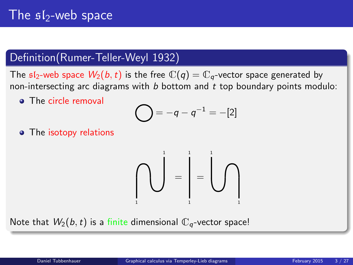# The  $s1$ -web space

### Definition(Rumer-Teller-Weyl 1932)

The  $sI_2$ -web space  $W_2(b, t)$  is the free  $\mathbb{C}(q) = \mathbb{C}_q$ -vector space generated by non-intersecting arc diagrams with  $b$  bottom and  $t$  top boundary points modulo:

**•** The circle removal

$$
= -q - q^{-1} = -[2]
$$

• The isotopy relations

<span id="page-2-0"></span>

Note that  $W_2(b, t)$  is a finite dimensional  $\mathbb{C}_q$ -vector space!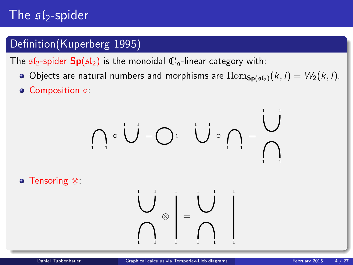# The  $sI_2$ -spider

## Definition(Kuperberg 1995)

The  $\mathfrak{sl}_2$ -spider  $\mathbf{Sp}(\mathfrak{sl}_2)$  is the monoidal  $\mathbb{C}_q$ -linear category with:

- Objects are natural numbers and morphisms are  $\text{Hom}_{\text{Sn(s1)}}(k, l) = W_2(k, l)$ .
- Composition ○:

$$
\left(\bigcap_{i=1}^{n} \circ \bigcup_{i=1}^{n} \mathbb{E}\left[\bigcap_{i=1}^{n} \mathbb{E}\left[\bigcap_{i=1}^{n} \mathbb{E}\left[\bigcap_{i=1}^{n} \mathbb{E}\left[\bigcap_{i=1}^{n} \mathbb{E}\left[\bigcap_{i=1}^{n} \mathbb{E}\left[\bigcap_{i=1}^{n} \mathbb{E}\left[\bigcap_{i=1}^{n} \mathbb{E}\left[\bigcap_{i=1}^{n} \mathbb{E}\left[\bigcap_{i=1}^{n} \mathbb{E}\left[\bigcap_{i=1}^{n} \mathbb{E}\left[\bigcap_{i=1}^{n} \mathbb{E}\left[\bigcap_{i=1}^{n} \mathbb{E}\left[\bigcap_{i=1}^{n} \mathbb{E}\left[\bigcap_{i=1}^{n} \mathbb{E}\left[\bigcap_{i=1}^{n} \mathbb{E}\left[\bigcap_{i=1}^{n} \mathbb{E}\left[\bigcap_{i=1}^{n} \mathbb{E}\left[\bigcap_{i=1}^{n} \mathbb{E}\left[\bigcap_{i=1}^{n} \mathbb{E}\left[\bigcap_{i=1}^{n} \mathbb{E}\left[\bigcap_{i=1}^{n} \mathbb{E}\left[\bigcap_{i=1}^{n} \mathbb{E}\left[\bigcap_{i=1}^{n} \mathbb{E}\left[\bigcap_{i=1}^{n} \mathbb{E}\left[\bigcap_{i=1}^{n} \mathbb{E}\left[\bigcap_{i=1}^{n} \mathbb{E}\left[\bigcap_{i=1}^{n} \mathbb{E}\left[\bigcap_{i=1}^{n} \mathbb{E}\left[\bigcap_{i=1}^{n} \mathbb{E}\left[\bigcap_{i=1}^{n} \mathbb{E}\left[\bigcap_{i=1}^{n} \mathbb{E}\left[\bigcap_{i=1}^{n} \mathbb{E}\left[\bigcap_{i=1}^{n} \mathbb{E}\left[\bigcap_{i=1}^{n} \mathbb{E}\left[\bigcap_{i=1}^{n} \mathbb{E}\left[\bigcap_{i=1}^{n} \mathbb{E}\left[\bigcap_{i=1}^{n} \mathbb{E}\left[\bigcap_{i=1}^{n} \mathbb{E}\left[\bigcap_{i=1}^{n} \mathbb{E}\left[\bigcap_{i=1}^{n} \mathbb{E}\left[\bigcap_{i=1
$$

Tensoring ⊗:

1 1 1

1 1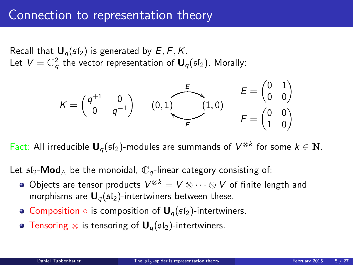## Connection to representation theory

Recall that  $U_q(\mathfrak{sl}_2)$  is generated by  $E, F, K$ . Let  $V=\mathbb{C}_q^2$  the vector representation of  $\boldsymbol{\mathsf{U}}_q(\mathfrak{sl}_2).$  Morally:



Fact: All irreducible  $U_q(\mathfrak{sl}_2)$ -modules are summands of  $V^{\otimes k}$  for some  $k \in \mathbb{N}$ .

Let  $\mathfrak{sl}_2\text{-}\mathsf{Mod}_{\wedge}$  be the monoidal,  $\mathbb{C}_q$ -linear category consisting of:

- Objects are tensor products  $V^{\otimes k} = V \otimes \cdots \otimes V$  of finite length and morphisms are  $U_q(s_1)$ -intertwiners between these.
- Composition  $\circ$  is composition of  $\mathbf{U}_q(\mathfrak{sl}_2)$ -intertwiners.
- <span id="page-4-0"></span>• Tensoring  $\otimes$  is tensoring of  $\mathbf{U}_q(\mathfrak{sl}_2)$ -intertwiners.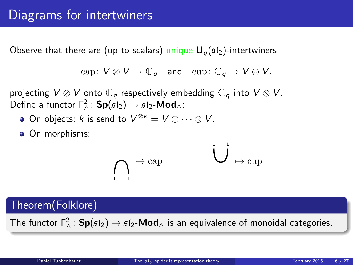Observe that there are (up to scalars) unique  $U_q(sI_2)$ -intertwiners

$$
\mathrm{cap}\colon V\otimes V\to \mathbb{C}_q\quad\text{and}\quad \mathrm{cup}\colon \mathbb{C}_q\to V\otimes V,
$$

projecting  $V \otimes V$  onto  $\mathbb{C}_q$  respectively embedding  $\mathbb{C}_q$  into  $V \otimes V$ . Define a functor  $\Gamma^2_{\wedge}$ :  $\mathsf{Sp}(\mathfrak{sl}_2) \to \mathfrak{sl}_2\text{-}\mathsf{Mod}_{\wedge}$ :

- On objects: k is send to  $V^{\otimes k} = V \otimes \cdots \otimes V$ .
- On morphisms:

$$
\bigcap_{\mathbf{1}} \mapsto \mathop{\mathrm{cap}}\limits
$$

Theorem(Folklore)

The functor  $\Gamma_\wedge^2\colon \mathsf{Sp}(\mathfrak{sl}_2)\to \mathfrak{sl}_2\text{-}\mathsf{Mod}_\wedge$  is an equivalence of monoidal categories.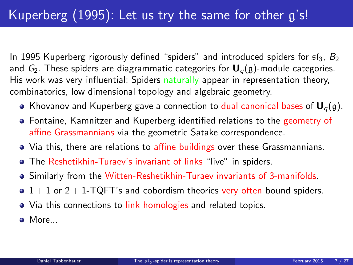In 1995 Kuperberg rigorously defined "spiders" and introduced spiders for  $s1_3$ ,  $B_2$ and  $G_2$ . These spiders are diagrammatic categories for  $U_q(g)$ -module categories. His work was very influential: Spiders naturally appear in representation theory, combinatorics, low dimensional topology and algebraic geometry.

- Khovanov and Kuperberg gave a connection to dual canonical bases of  $U_q(g)$ .
- Fontaine, Kamnitzer and Kuperberg identified relations to the geometry of affine Grassmannians via the geometric Satake correspondence.
- Via this, there are relations to affine buildings over these Grassmannians.
- The Reshetikhin-Turaev's invariant of links "live" in spiders.
- Similarly from the Witten-Reshetikhin-Turaev invariants of 3-manifolds.
- $\bullet$  1 + 1 or 2 + 1-TQFT's and cobordism theories very often bound spiders.
- Via this connections to link homologies and related topics.
- **a** More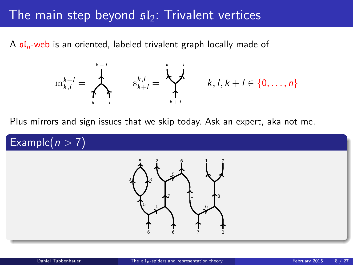## The main step beyond  $s/s$ : Trivalent vertices

A  $\mathfrak{sl}_n$ -web is an oriented, labeled trivalent graph locally made of



<span id="page-7-0"></span>
$$
k,l,k+l\in\{0,\ldots,n\}
$$

Plus mirrors and sign issues that we skip today. Ask an expert, aka not me.

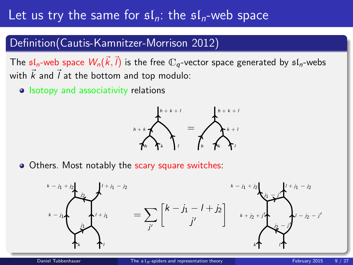# Let us try the same for  $\mathfrak{sl}_n$ : the  $\mathfrak{sl}_n$ -web space

### Definition(Cautis-Kamnitzer-Morrison 2012)

The  $\mathfrak{sl}_n$ -web space  $W_n(\vec{k},\vec{l})$  is the free  $\mathbb{C}_q$ -vector space generated by  $\mathfrak{sl}_n$ -webs with  $\vec{k}$  and  $\vec{l}$  at the bottom and top modulo:

• Isotopy and associativity relations



• Others. Most notably the scary square switches:

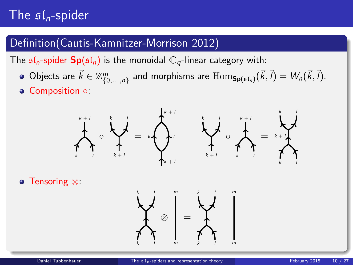# The  $\mathfrak{sl}_n$ -spider

### Definition(Cautis-Kamnitzer-Morrison 2012)

The  $\mathfrak{sl}_n$ -spider  $\mathbf{Sp}(\mathfrak{sl}_n)$  is the monoidal  $\mathbb{C}_q$ -linear category with:

- Objects are  $\vec{k} \in \mathbb{Z}_{\{0,\ldots,n\}}^m$  and morphisms are  $\mathrm{Hom}_{\mathsf{Sp}(\mathfrak{sl}_n)}(\vec{k},\vec{l}) = W_n(\vec{k},\vec{l}).$
- Composition ○:



Tensoring ⊗:

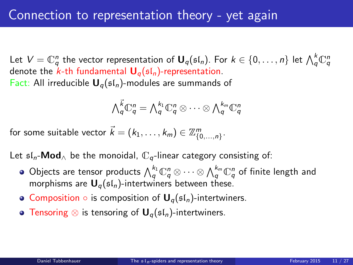Let  $V=\mathbb{C}^n_q$  the vector representation of  $\bm{\mathsf{U}}_q(\mathfrak{sl}_n)$ . For  $k\in\{0,\ldots,n\}$  let  $\bigwedge^k_q \mathbb{C}^n_q$ denote the k-th fundamental  $U_q(sI_n)$ -representation. Fact: All irreducible  $U_q(\mathfrak{sl}_n)$ -modules are summands of

$$
\bigwedge \mathop{q}\limits^{\vec{k}} \mathbb{C}^n_q = \bigwedge \mathop{q}\limits^{k_1} \mathbb{C}^n_q \otimes \cdots \otimes \bigwedge \mathop{q}\limits^{k_m} \mathbb{C}^n_q
$$

for some suitable vector  $\vec{k} = (k_1, \ldots, k_m) \in \mathbb{Z}_{\{0,\ldots,n\}}^m.$ 

Let  $\mathfrak{sl}_n$ -**Mod** be the monoidal,  $\mathbb{C}_q$ -linear category consisting of:

- Objects are tensor products  $\bigwedge_q^{k_1}\mathbb{C}^n_q\otimes\cdots\otimes \bigwedge_q^{k_m}\mathbb{C}^n_q$  of finite length and morphisms are  $U_q(sI_n)$ -intertwiners between these.
- Composition  $\circ$  is composition of  $\mathbf{U}_q(\mathfrak{sl}_n)$ -intertwiners.
- **Tensoring ⊗ is tensoring of**  $U_q(st_n)$ **-intertwiners.**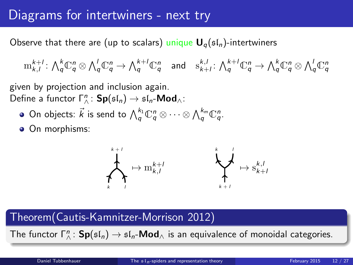## Diagrams for intertwiners - next try

Observe that there are (up to scalars) unique  $U_q(sI_n)$ -intertwiners

 $\mathrm{Im}^{k+l}_{k,l} \colon {\textstyle\bigwedge}^k_q\mathbb{C}^n_q\otimes{\textstyle\bigwedge}^l_q\mathbb{C}^n_q\to {\textstyle\bigwedge}^{k+l}_q\mathbb{C}^n_q\quad\text{and}\quad \mathrm{s}^{k,l}_{k+l}\colon {\textstyle\bigwedge}^{k+l}_q\mathbb{C}^n_q\to {\textstyle\bigwedge}^k_q\mathbb{C}^n_q\otimes{\textstyle\bigwedge}^l_q\mathbb{C}^n_q$ 

given by projection and inclusion again. Define a functor  $\Gamma^n_{\wedge}$ :  $\mathsf{Sp}(\mathfrak{sl}_n) \to \mathfrak{sl}_n\text{-}\mathsf{Mod}_{\wedge}$ :

- On objects:  $\vec{k}$  is send to  $\bigwedge_q^{k_1}\mathbb{C}^n_q \otimes \cdots \otimes \bigwedge_q^{k_m}\mathbb{C}^n_q.$
- On morphisms:



### Theorem(Cautis-Kamnitzer-Morrison 2012)

The functor  $\Gamma_\wedge^n\colon \mathsf{Sp}(\mathfrak{sl}_n)\to \mathfrak{sl}_n\text{-}\mathsf{Mod}_\wedge$  is an equivalence of monoidal categories.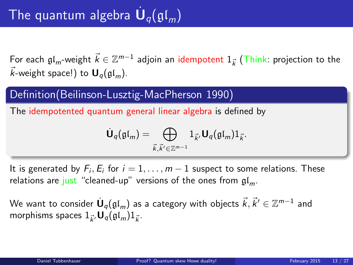For each  $\mathfrak{gl}_m$ -weight  $\vec{k} \in \mathbb{Z}^{m-1}$  adjoin an idempotent  $1_{\vec{k}}$  (Think: projection to the  $\vec{k}$ -weight space!) to  $\mathbf{U}_q(\mathfrak{gl}_m)$ .

### Definition(Beilinson-Lusztig-MacPherson 1990)

The idempotented quantum general linear algebra is defined by

<span id="page-12-0"></span>
$$
\dot{\mathbf{U}}_q(\mathfrak{gl}_m) = \bigoplus_{\vec{k},\vec{k}' \in \mathbb{Z}^{m-1}} 1_{\vec{k}'} \mathbf{U}_q(\mathfrak{gl}_m) 1_{\vec{k}}.
$$

It is generated by  $F_i, E_i$  for  $i = 1, \ldots, m - 1$  suspect to some relations. These relations are just "cleaned-up" versions of the ones from  $\mathfrak{gl}_m$ .

We want to consider  $\dot{\textbf U}_q(\mathfrak{gl}_m)$  as a category with objects  $\vec k, \vec k' \in \mathbb Z^{m-1}$  and morphisms spaces  $1_{\vec{k}'}\mathbf{U}_q(\mathfrak{gl}_m)1_{\vec{k}}$ .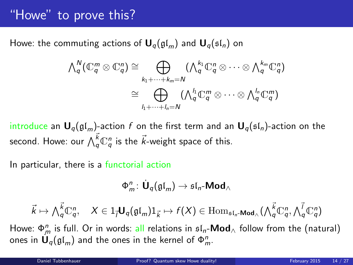# "Howe" to prove this?

Howe: the commuting actions of  $U_q(\mathfrak{gl}_m)$  and  $U_q(\mathfrak{sl}_n)$  on

$$
\begin{aligned}\n\bigwedge\n\begin{bmatrix}\n\Lambda_q^N(\mathbb{C}_q^m \otimes \mathbb{C}_q^n) \cong \bigoplus_{k_1 + \cdots + k_m = N} \left(\bigwedge\n\begin{bmatrix}\n\Lambda_q^k \mathbb{C}_q^n \otimes \cdots \otimes \bigwedge\n\begin{bmatrix}\n\Lambda_q^{k_m} \mathbb{C}_q^n\n\end{bmatrix}\n\end{bmatrix} \\
\cong \bigoplus_{l_1 + \cdots + l_n = N} \left(\bigwedge\n\begin{bmatrix}\n\Lambda_q^l \mathbb{C}_q^m \otimes \cdots \otimes \bigwedge\n\begin{bmatrix}\n\Lambda_q^l \mathbb{C}_q^m\n\end{bmatrix}\n\end{aligned}\right)\n\end{aligned}
$$

introduce an  $U_q(\mathfrak{gl}_m)$ -action f on the first term and an  $U_q(\mathfrak{sl}_n)$ -action on the second. Howe: our  $\bigwedge^{\vec{k}}_q\mathbb{C}^n_q$  is the  $\vec{k}$ -weight space of this.

In particular, there is a functorial action

$$
\Phi^n_m\colon \dot{\mathbf U}_q(\mathfrak{gl}_m)\to \mathfrak{sl}_n\text{-}\mathbf{Mod}_\wedge
$$

$$
\vec{k} \mapsto \bigwedge_{q}^{\vec{k}} \mathbb{C}^n_q, \quad X \in 1_{\vec{l}} \mathbf{U}_q(\mathfrak{gl}_m) 1_{\vec{k}} \mapsto f(X) \in \mathrm{Hom}_{\mathfrak{sl}_n\text{-}\mathbf{Mod}_\wedge}(\bigwedge_{q}^{\vec{k}} \mathbb{C}^n_q, \bigwedge_{q}^{\vec{l}} \mathbb{C}^n_q)
$$

Howe:  $\Phi_m^n$  is full. Or in words: all relations in  $\mathfrak{sl}_n\text{-}\mathsf{Mod}_\wedge$  follow from the (natural) ones in  $\mathsf{U}_q(\mathfrak{gl}_m)$  and the ones in the kernel of  $\Phi_m^n.$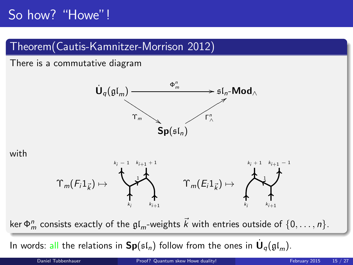# So how? "Howe"!

## Theorem(Cautis-Kamnitzer-Morrison 2012)

There is a commutative diagram



#### with



ker  $\Phi_m^n$  consists exactly of the  $\mathfrak{gl}_m$ -weights  $\vec{k}$  with entries outside of  $\{0,\ldots,n\}.$ 

In words: all the relations in  $\mathbf{Sp}(\mathfrak{sl}_n)$  follow from the ones in  $\dot{\mathbf U}_q(\mathfrak{gl}_m).$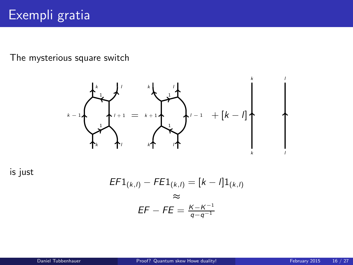The mysterious square switch



is just

$$
EFL_{(k,l)} - FE1_{(k,l)} = [k - l]1_{(k,l)}
$$
  
\n
$$
\approx
$$
  
\n
$$
EF - FE = \frac{K - K^{-1}}{q - q^{-1}}
$$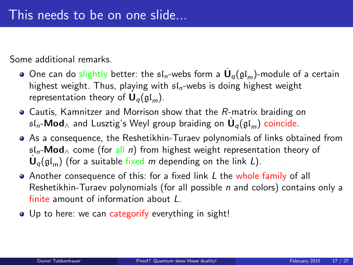Some additional remarks.

- One can do slightly better: the  $\mathfrak{sl}_n$ -webs form a  $\dot{\mathsf{U}}_q(\mathfrak{gl}_m)$ -module of a certain highest weight. Thus, playing with  $sI_n$ -webs is doing highest weight representation theory of  $\dot{\mathbf{U}}_q(\mathfrak{gl}_m)$ .
- Cautis, Kamnitzer and Morrison show that the R-matrix braiding on  $\mathfrak{sl}_n\text{-}\mathsf{Mod}_\wedge$  and Lusztig's Weyl group braiding on  $\dot{\mathsf{U}}_q(\mathfrak{gl}_m)$  coincide.
- As a consequence, the Reshetikhin-Turaev polynomials of links obtained from  $sL_n$ -Mod<sub>∧</sub> come (for all n) from highest weight representation theory of  $\dot{\mathbf{U}}_q(\mathfrak{gl}_m)$  (for a suitable fixed m depending on the link L).
- Another consequence of this: for a fixed link L the whole family of all Reshetikhin-Turaev polynomials (for all possible  $n$  and colors) contains only a finite amount of information about L.
- Up to here: we can categorify everything in sight!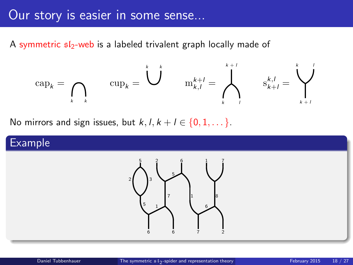## Our story is easier in some sense...

A symmetric  $s/s$ -web is a labeled trivalent graph locally made of

$$
\mathrm{cap}_k = \bigcap_{k \geq k} \qquad \mathrm{cup}_k = \bigcup_{k \geq 1}^k \qquad \mathrm{m}_{k,l}^{k+l} = \bigwedge_{k \geq 1}^{k+l} \qquad \mathrm{s}_{k+l}^{k,l} = \bigvee_{k \geq 1}^{k}
$$

No mirrors and sign issues, but  $k, l, k+l \in \{0, 1, \dots\}$ .

### Example

<span id="page-17-0"></span>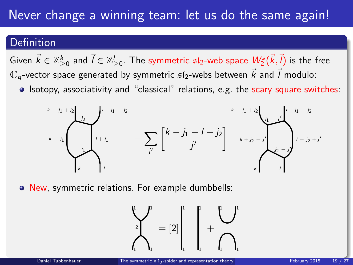# Never change a winning team: let us do the same again!

### Definition

Given  $\vec k\in\mathbb{Z}_{\ge0}^k$  and  $\vec l\in\mathbb{Z}_{\ge0}^l.$  The symmetric  $\mathfrak{sl}_2$ -web space  $\mathcal{W}_2^s(\vec k,\vec l)$  is the free  $\mathbb{C}_q$ -vector space generated by symmetric  $\mathfrak{sl}_2$ -webs between  $\vec{k}$  and  $\vec{l}$  modulo:

• Isotopy, associativity and "classical" relations, e.g. the scary square switches:



New, symmetric relations. For example dumbbells:

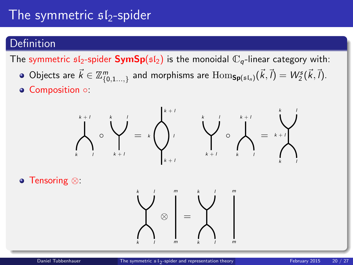# The symmetric  $s1_2$ -spider

### **Definition**

The symmetric  $sI_2$ -spider **SymSp**( $sI_2$ ) is the monoidal  $\mathbb{C}_q$ -linear category with:

- Objects are  $\vec{k} \in \mathbb{Z}_{\{0,1...,2\}}^m$  and morphisms are  $\mathrm{Hom}_{\mathsf{Sp}(\mathfrak{sl}_n)}(\vec{k},\vec{l}) = W^s_2(\vec{k},\vec{l}).$
- Composition ○:



Tensoring ⊗:

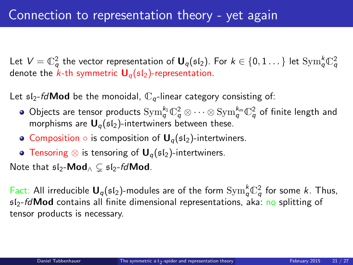Let  $V=\mathbb{C}_q^2$  the vector representation of  $\bm{\mathsf{U}}_q(\mathfrak{sl}_2).$  For  $k\in\{0,1\ldots\}$  let  $\mathrm{Sym}_q^k\mathbb{C}_q^2$ denote the  $k$ -th symmetric  $U_q(sI_2)$ -representation.

Let  $sI_2$ -fd**Mod** be the monoidal,  $\mathbb{C}_q$ -linear category consisting of:

- Objects are tensor products  ${\rm Sym}_q^{k_1} \mathbb{C}_q^2 \otimes \cdots \otimes {\rm Sym}_q^{k_m} \mathbb{C}_q^2$  of finite length and morphisms are  $U_q(sI_2)$ -intertwiners between these.
- Composition  $\circ$  is composition of  $\mathbf{U}_q(\mathfrak{sl}_2)$ -intertwiners.
- **Tensoring ⊗ is tensoring of U<sub>a</sub>(sl<sub>2</sub>)-intertwiners.**

Note that  $\mathfrak{sl}_2\text{-}\mathsf{Mod}_\wedge \subset \mathfrak{sl}_2$ -fdMod.

Fact: All irreducible  $U_q(\mathfrak{sl}_2)$ -modules are of the form  $\mathrm{Sym}_q^k\mathbb{C}_q^2$  for some k. Thus,  $s/2$ -*fd* Mod contains all finite dimensional representations, aka: no splitting of tensor products is necessary.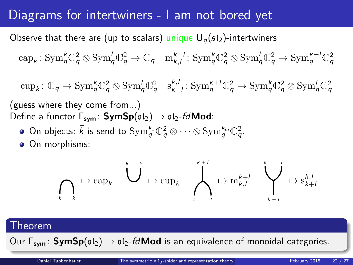# Diagrams for intertwiners - I am not bored yet

Observe that there are (up to scalars) unique  $U_q(s_1)$ -intertwiners

 $\text{cap}_k: \text{Sym}_q^k \mathbb{C}_q^2 \otimes \text{Sym}_q^l \mathbb{C}_q^2 \to \mathbb{C}_q \quad \text{m}_{k,l}^{k+l}: \text{Sym}_q^k \mathbb{C}_q^2 \otimes \text{Sym}_q^l \mathbb{C}_q^2 \to \text{Sym}_q^{k+l} \mathbb{C}_q^2$ 

 $\text{cup}_k: \mathbb{C}_q \to \text{Sym}_q^k \mathbb{C}_q^2 \otimes \text{Sym}_q^l \mathbb{C}_q^2 \quad s_{k+l}^{k,l}: \text{Sym}_q^{k+l} \mathbb{C}_q^2 \to \text{Sym}_q^k \mathbb{C}_q^2 \otimes \text{Sym}_q^l \mathbb{C}_q^2$ 

(guess where they come from...) Define a functor  $\Gamma_{sym}$ : SymSp( $sI_2$ )  $\rightarrow$   $sI_2$ -fdMod:

- On objects:  $\vec{k}$  is send to  $\mathrm{Sym}^{k_1}_{q} \mathbb{C}^2_{q} \otimes \cdots \otimes \mathrm{Sym}^{k_m}_{q} \mathbb{C}^2_{q}$ .
- On morphisms:

$$
\bigcap_k \mapsto \text{cap}_k \quad \bigcup^{k} \mapsto \text{cup}_k \quad \bigwedge^{k+l}_{k} \mapsto \text{m}_{k,l}^{k+l} \quad \bigvee^{k} \rightarrow \text{s}_{k+l}^{k,l}
$$

#### Theorem

Our  $\Gamma_{sym}$ : SymSp( $s(s)$ )  $\rightarrow$   $s/s$ -fd**Mod** is an equivalence of monoidal categories.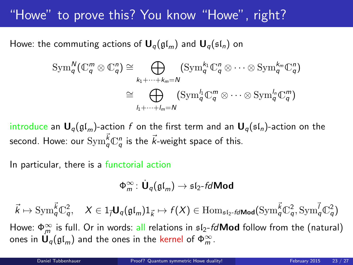# "Howe" to prove this? You know "Howe", right?

Howe: the commuting actions of  $U_q(\mathfrak{gl}_m)$  and  $U_q(\mathfrak{sl}_n)$  on

$$
\operatorname{Sym}_{q}^{N}(\mathbb{C}_{q}^{m}\otimes\mathbb{C}_{q}^{n})\cong\bigoplus_{k_{1}+\cdots+k_{m}=N}(\operatorname{Sym}_{q}^{k_{1}}\mathbb{C}_{q}^{n}\otimes\cdots\otimes\operatorname{Sym}_{q}^{k_{m}}\mathbb{C}_{q}^{n})
$$

$$
\cong\bigoplus_{l_{1}+\cdots+l_{m}=N}(\operatorname{Sym}_{q}^{l_{1}}\mathbb{C}_{q}^{m}\otimes\cdots\otimes\operatorname{Sym}_{q}^{l_{n}}\mathbb{C}_{q}^{m})
$$

introduce an  $U_q(\mathfrak{gl}_m)$ -action f on the first term and an  $U_q(\mathfrak{sl}_n)$ -action on the second. Howe: our  $\mathrm{Sym}^{\vec{k}}_q\mathbb{C}^n_q$  is the  $\vec{k}$ -weight space of this.

In particular, there is a functorial action

<span id="page-22-0"></span>
$$
\Phi_m^{\infty}\colon \dot{\mathbf U}_q(\mathfrak{gl}_m)\to \mathfrak{sl}_2\text{-}\textit{fdMod}
$$

 $\vec{k} \mapsto \mathrm{Sym}^{\vec{k}}_{q} \mathbb{C}^2_{q}, \quad X \in 1_{\vec{l}} \mathbf{U}_{q}(\mathfrak{gl}_m) 1_{\vec{k}} \mapsto f(X) \in \mathrm{Hom}_{\mathfrak{sl}_2\text{-}\vec{t} \mathsf{d} \mathsf{Mod}}(\mathrm{Sym}^{\vec{k}}_{q} \mathbb{C}^2_{q}, \mathrm{Sym}^{\vec{l}}_{q} \mathbb{C}^2_{q})$ 

Howe:  $\Phi_m^{\infty}$  is full. Or in words: all relations in  $\mathfrak{sl}_2$ -fd $\mathsf{Mod}$  follow from the (natural) ones in  $\mathbf{U}_q(\mathfrak{gl}_m)$  and the ones in the kernel of  $\Phi_m^{\infty}$ .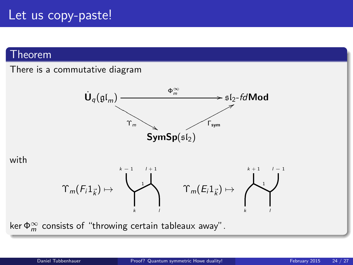## Let us copy-paste!

### Theorem

#### There is a commutative diagram



with



ker  $\Phi_m^{\infty}$  consists of "throwing certain tableaux away".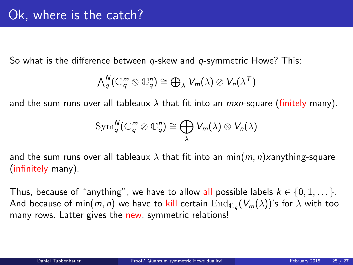So what is the difference between  $q$ -skew and  $q$ -symmetric Howe? This:

$$
\bigwedge\nolimits_q^N (\mathbb{C}_q^m \otimes \mathbb{C}_q^n) \cong \bigoplus_{\lambda} V_m(\lambda) \otimes V_n(\lambda^T)
$$

and the sum runs over all tableaux  $\lambda$  that fit into an  $mxn$ -square (finitely many).

$$
\operatorname{Sym}^N_q(\mathbb{C}_q^m \otimes \mathbb{C}_q^n) \cong \bigoplus_{\lambda} V_m(\lambda) \otimes V_n(\lambda)
$$

and the sum runs over all tableaux  $\lambda$  that fit into an min $(m, n)$ xanything-square (infinitely many).

Thus, because of "anything", we have to allow all possible labels  $k \in \{0, 1, \dots\}$ . And because of min $(m,n)$  we have to kill certain  $\mathrm{End}_{\mathbb{C}_q}(V_m(\lambda))$ 's for  $\lambda$  with too many rows. Latter gives the new, symmetric relations!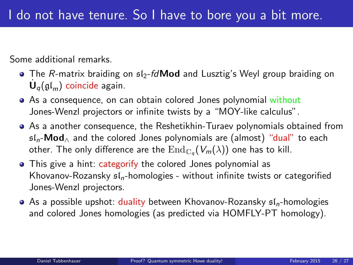Some additional remarks.

- $\bullet$  The R-matrix braiding on  $\mathfrak{sl}_2$ -fd**Mod** and Lusztig's Weyl group braiding on  $\dot{\mathsf{U}}_q(\mathfrak{gl}_m)$  coincide again.
- As a consequence, on can obtain colored Jones polynomial without Jones-Wenzl projectors or infinite twists by a "MOY-like calculus".
- As a another consequence, the Reshetikhin-Turaev polynomials obtained from  $sI_n$ -**Mod**<sub> $\land$ </sub> and the colored Jones polynomials are (almost) "dual" to each other. The only difference are the  $\mathrm{End}_{\mathbb{C}_q}(V_m(\lambda))$  one has to kill.
- This give a hint: categorify the colored Jones polynomial as Khovanov-Rozansky  $sI_n$ -homologies - without infinite twists or categorified Jones-Wenzl projectors.
- $\bullet$  As a possible upshot: duality between Khovanov-Rozansky  $\mathfrak{sl}_n$ -homologies and colored Jones homologies (as predicted via HOMFLY-PT homology).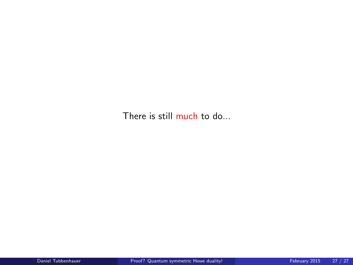There is still much to do...